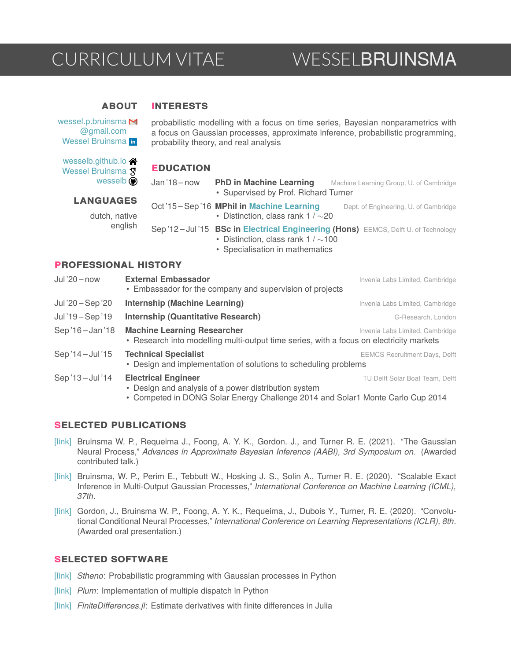# CURRICULUM VITAE WESSELBRUINSMA

### **INTERESTS ABOUT**

[wessel.p.bruinsma](mailto:wessel.p.bruinsma@gmail.com) M [@gmail.com](mailto:wessel.p.bruinsma@gmail.com) [Wessel Bruinsma](https://www.linkedin.com/in/wessel-bruinsma) in

probabilistic modelling with a focus on time series, Bayesian nonparametrics with a focus on Gaussian processes, approximate inference, probabilistic programming, probability theory, and real analysis

# **EDUCATION**

| wesselb.github.io <a></a>      |  |
|--------------------------------|--|
| Wessel Bruinsma X <sup>I</sup> |  |
| wesselb $\bigcirc$             |  |

J. Jan '18-now PhD in Machine Learning Machine Learning Group, U. of Cambridge • Supervised by Prof. Richard Turner **LANGUAGES** Oct<sup>'</sup>15 - Sep<sup>'</sup>16 **MPhil in [Machine Learning](http://www.mlsalt.eng.cam.ac.uk/)** Dept. of Engineering, U. of Cambridge dutch, native • Distinction, class rank 1 / ∼20 englishSep '12 – Jul '15 **BSc in [Electrical Engineering](https://www.tudelft.nl/en/education/programmes/bachelors/ee/bachelor-of-electrical-engineering/) (Hons)** EEMCS, Delft U. of Technology • Distinction, class rank 1 / ∼100 • Specialisation in mathematics

# **PROFESSIONAL HISTORY**

| $Jul'20 - now$    | <b>External Embassador</b><br>• Embassador for the company and supervision of projects                                                                            | Invenia Labs Limited, Cambridge      |
|-------------------|-------------------------------------------------------------------------------------------------------------------------------------------------------------------|--------------------------------------|
| Jul '20 - Sep '20 | <b>Internship (Machine Learning)</b>                                                                                                                              | Invenia Labs Limited, Cambridge      |
| Jul'19 - Sep '19  | <b>Internship (Quantitative Research)</b>                                                                                                                         | G-Research, London                   |
| Sep'16-Jan'18     | <b>Machine Learning Researcher</b><br>• Research into modelling multi-output time series, with a focus on electricity markets                                     | Invenia Labs Limited, Cambridge      |
| Sep '14 - Jul '15 | <b>Technical Specialist</b><br>• Design and implementation of solutions to scheduling problems                                                                    | <b>EEMCS Recruitment Days, Delft</b> |
| Sep'13-Jul'14     | <b>Electrical Engineer</b><br>• Design and analysis of a power distribution system<br>Compated in DONO Color From: Challange 2014 and Color1 Monte Carle Cup 2014 | TU Delft Solar Boat Team, Delft      |

# • Competed in DONG Solar Energy Challenge 2014 and Solar1 Monte Carlo Cup 2014

# **SELECTED PUBLICATIONS**

- [\[link\]](https://wesselb.github.io/assets/publications/Bruinsma, 2021, The Gaussian Neural Process.pdf) Bruinsma W. P., Requeima J., Foong, A. Y. K., Gordon. J., and Turner R. E. (2021). "The Gaussian Neural Process," *Advances in Approximate Bayesian Inference (AABI), 3rd Symposium on*. (Awarded contributed talk.)
- [\[link\]](https://wesselb.github.io/assets/publications/Bruinsma, 2020, Scalable Exact Inference in Multi-Output Gaussian Processes.pdf) Bruinsma, W. P., Perim E., Tebbutt W., Hosking J. S., Solin A., Turner R. E. (2020). "Scalable Exact Inference in Multi-Output Gaussian Processes," *International Conference on Machine Learning (ICML), 37th*.
- [\[link\]](https://wesselb.github.io/assets/publications/Gordon, 2020, Convolutional Conditional Neural Processes.pdf) Gordon, J., Bruinsma W. P., Foong, A. Y. K., Requeima, J., Dubois Y., Turner, R. E. (2020). "Convolutional Conditional Neural Processes," *International Conference on Learning Representations (ICLR), 8th*. (Awarded oral presentation.)

# **SELECTED SOFTWARE**

- [\[link\]](https://github.com/wesselb/stheno) *Stheno*: Probabilistic programming with Gaussian processes in Python
- [\[link\]](https://github.com/wesselb/plum) *Plum*: Implementation of multiple dispatch in Python
- [\[link\]](https://github.com/invenia/FDM.jl) *FiniteDifferences.jl*: Estimate derivatives with finite differences in Julia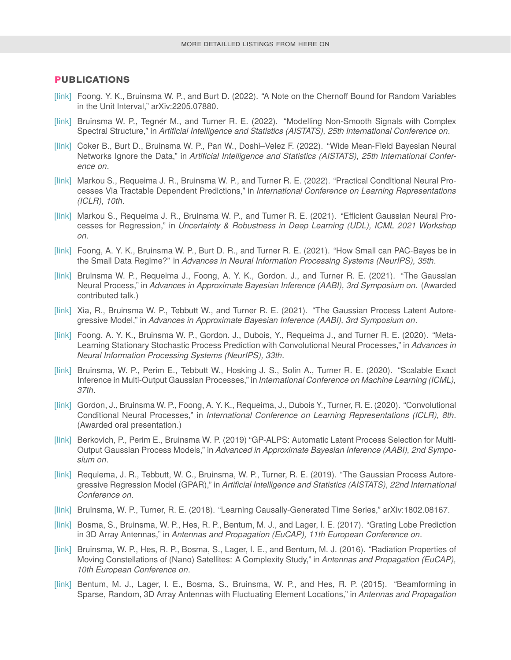## **PUBLICATIONS**

- [\[link\]](https://wesselb.github.io/assets/publications/Foong, 2022, A Note on the Chernoff Bound for Random Variables in the Unit Interval.pdf) Foong, Y. K., Bruinsma W. P., and Burt D. (2022). "A Note on the Chernoff Bound for Random Variables in the Unit Interval," arXiv:2205.07880.
- [\[link\]](https://wesselb.github.io/assets/publications/Bruinsma, 2022, Modelling Non-Smooth Signals With Complex Spectral Structure.pdf) Bruinsma W. P., Tegnér M., and Turner R. E. (2022). "Modelling Non-Smooth Signals with Complex Spectral Structure," in *Artificial Intelligence and Statistics (AISTATS), 25th International Conference on*.
- [\[link\]](https://wesselb.github.io/assets/publications/Coker, 2022, Wide Mean-Field Bayesian Neural Networks Ignore the Data.pdf) Coker B., Burt D., Bruinsma W. P., Pan W., Doshi–Velez F. (2022). "Wide Mean-Field Bayesian Neural Networks Ignore the Data," in *Artificial Intelligence and Statistics (AISTATS), 25th International Conference on*.
- [\[link\]](https://wesselb.github.io/assets/publications/Markou, 2022, Practical Conditional Neural Processes for Tractable Dependent Predictions.pdf) Markou S., Requeima J. R., Bruinsma W. P., and Turner R. E. (2022). "Practical Conditional Neural Processes Via Tractable Dependent Predictions," in *International Conference on Learning Representations (ICLR), 10th*.
- [\[link\]](https://wesselb.github.io/assets/publications/Markou, 2021, Efficient Gaussian Neural Processes for Regression.pdf) Markou S., Requeima J. R., Bruinsma W. P., and Turner R. E. (2021). "Efficient Gaussian Neural Processes for Regression," in *Uncertainty & Robustness in Deep Learning (UDL), ICML 2021 Workshop on*.
- [\[link\]](https://wesselb.github.io/assets/publications/Foong, 2021, How Tight Can PAC-Bayes Be in the Small Data Regime.pdf) Foong, A. Y. K., Bruinsma W. P., Burt D. R., and Turner R. E. (2021). "How Small can PAC-Bayes be in the Small Data Regime?" in *Advances in Neural Information Processing Systems (NeurIPS), 35th*.
- [\[link\]](https://wesselb.github.io/assets/publications/Bruinsma, 2021, The Gaussian Neural Process.pdf) Bruinsma W. P., Requeima J., Foong, A. Y. K., Gordon. J., and Turner R. E. (2021). "The Gaussian Neural Process," in *Advances in Approximate Bayesian Inference (AABI), 3rd Symposium on*. (Awarded contributed talk.)
- [\[link\]](https://wesselb.github.io/assets/publications/Xia, 2021, The Gaussian Process Latent Autoregressive Model.pdf) Xia, R., Bruinsma W. P., Tebbutt W., and Turner R. E. (2021). "The Gaussian Process Latent Autoregressive Model," in *Advances in Approximate Bayesian Inference (AABI), 3rd Symposium on*.
- [\[link\]](https://wesselb.github.io/assets/publications/Foong, 2020, Meta-Learning Stationary Stochastic Process Prediction With Convolutional Neural Processes.pdf) Foong, A. Y. K., Bruinsma W. P., Gordon. J., Dubois, Y., Requeima J., and Turner R. E. (2020). "Meta-Learning Stationary Stochastic Process Prediction with Convolutional Neural Processes," in *Advances in Neural Information Processing Systems (NeurIPS), 33th*.
- [\[link\]](https://wesselb.github.io/assets/publications/Bruinsma, 2020, Scalable Exact Inference in Multi-Output Gaussian Processes.pdf) Bruinsma, W. P., Perim E., Tebbutt W., Hosking J. S., Solin A., Turner R. E. (2020). "Scalable Exact Inference in Multi-Output Gaussian Processes," in *International Conference on Machine Learning (ICML), 37th*.
- [\[link\]](https://wesselb.github.io/assets/publications/Gordon, 2020, Convolutional Conditional Neural Processes.pdf) Gordon, J., Bruinsma W. P., Foong, A. Y. K., Requeima, J., Dubois Y., Turner, R. E. (2020). "Convolutional Conditional Neural Processes," in *International Conference on Learning Representations (ICLR), 8th*. (Awarded oral presentation.)
- [\[link\]](https://wesselb.github.io/assets/publications/Berkovich, 2019, GP-ALPS, Automatic Latent Process Selection for Multi-Output Gaussian Process Models.pdf) Berkovich, P., Perim E., Bruinsma W. P. (2019) "GP-ALPS: Automatic Latent Process Selection for Multi-Output Gaussian Process Models," in *Advanced in Approximate Bayesian Inference (AABI), 2nd Symposium on*.
- [\[link\]](https://wesselb.github.io/assets/publications/Requeima, 2019, The Gaussian Process Autoregressive Regression Model (GPAR).pdf) Requiema, J. R., Tebbutt, W. C., Bruinsma, W. P., Turner, R. E. (2019). "The Gaussian Process Autoregressive Regression Model (GPAR)," in *Artificial Intelligence and Statistics (AISTATS), 22nd International Conference on*.
- [\[link\]](https://arxiv.org/abs/1802.08167) Bruinsma, W. P., Turner, R. E. (2018). "Learning Causally-Generated Time Series," arXiv:1802.08167.
- [\[link\]](https://wesselb.github.io/assets/publications/Bosma, 2017, Grating Lobes Prediction in 3D Array Antennas.pdf) Bosma, S., Bruinsma, W. P., Hes, R. P., Bentum, M. J., and Lager, I. E. (2017). "Grating Lobe Prediction in 3D Array Antennas," in *Antennas and Propagation (EuCAP), 11th European Conference on*.
- [\[link\]](https://wesselb.github.io/assets/publications/Bruinsma, 2016, Radiation Properties of Moving Constellations of Satellites.pdf) Bruinsma, W. P., Hes, R. P., Bosma, S., Lager, I. E., and Bentum, M. J. (2016). "Radiation Properties of Moving Constellations of (Nano) Satellites: A Complexity Study," in *Antennas and Propagation (EuCAP), 10th European Conference on*.
- [\[link\]](https://wesselb.github.io/assets/publications/Lager, 2015, Beamforming in Sparse, Random, 3D Array Antennas with Fluctuating Element Locations.pdf) Bentum, M. J., Lager, I. E., Bosma, S., Bruinsma, W. P., and Hes, R. P. (2015). "Beamforming in Sparse, Random, 3D Array Antennas with Fluctuating Element Locations," in *Antennas and Propagation*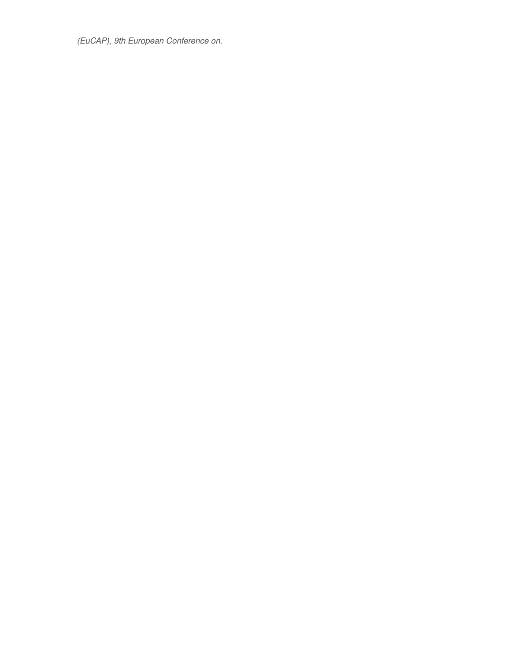*(EuCAP), 9th European Conference on*.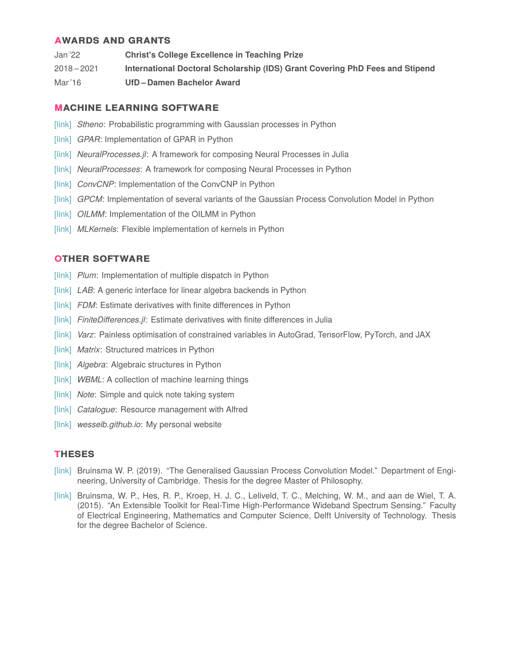# **AWARDS AND GRANTS**

Jan '22 **Christ's College Excellence in Teaching Prize** 2018 – 2021 **International Doctoral Scholarship (IDS) Grant Covering PhD Fees and Stipend** Mar '16 **UfD – Damen Bachelor Award**

# **MACHINE LEARNING SOFTWARE**

- [\[link\]](https://github.com/wesselb/stheno) *Stheno*: Probabilistic programming with Gaussian processes in Python
- [\[link\]](https://github.com/wesselb/gpar) *GPAR*: Implementation of GPAR in Python
- [\[link\]](https://github.com/wesselb/NeuralProcesses.jl) *NeuralProcesses.jl*: A framework for composing Neural Processes in Julia
- [\[link\]](https://github.com/wesselb/NeuralProcesses) *NeuralProcesses*: A framework for composing Neural Processes in Python
- [\[link\]](https://github.com/cambridge-mlg/convcnp) *ConvCNP*: Implementation of the ConvCNP in Python
- [\[link\]](https://github.com/wesselb/gpcm) *GPCM*: Implementation of several variants of the Gaussian Process Convolution Model in Python
- [\[link\]](https://github.com/wesselb/oilmm) *OILMM*: Implementation of the OILMM in Python
- [\[link\]](https://github.com/wesselb/mlkernels) *MLKernels*: Flexible implementation of kernels in Python

# **OTHER SOFTWARE**

- [\[link\]](https://github.com/wesselb/plum) *Plum*: Implementation of multiple dispatch in Python
- [\[link\]](https://github.com/wesselb/lab) *LAB*: A generic interface for linear algebra backends in Python
- [\[link\]](https://github.com/wesselb/fdm) *FDM*: Estimate derivatives with finite differences in Python
- [\[link\]](https://github.com/invenia/FDM.jl) *FiniteDifferences.jl*: Estimate derivatives with finite differences in Julia
- [\[link\]](https://github.com/wesselb/varz) *Varz*: Painless optimisation of constrained variables in AutoGrad, TensorFlow, PyTorch, and JAX
- [\[link\]](https://github.com/wesselb/matrix) *Matrix*: Structured matrices in Python
- [\[link\]](https://github.com/wesselb/algebra) *Algebra*: Algebraic structures in Python
- [\[link\]](https://github.com/wesselb/wbml) *WBML*: A collection of machine learning things
- [\[link\]](https://github.com/wesselb/note) *Note*: Simple and quick note taking system
- [\[link\]](https://github.com/wesselb/catalogue) *Catalogue*: Resource management with Alfred
- [\[link\]](https://github.com/wesselb/wesselb.github.io) wesselb.github.io: My personal website

# **THESES**

- [\[link\]](https://wesselb.github.io/theses/Bruinsma, 2016, (Thesis) The Generalised Gaussian Process Convolution Model.pdf) Bruinsma W. P. (2019). "The Generalised Gaussian Process Convolution Model." Department of Engineering, University of Cambridge. Thesis for the degree Master of Philosophy.
- [\[link\]](https://wesselb.github.io/theses/Bruinsma, 2015, (Thesis) An Extensible Toolkit For Real-Time High-Performance Wideband Spectrum Sensing.pdf) Bruinsma, W. P., Hes, R. P., Kroep, H. J. C., Leliveld, T. C., Melching, W. M., and aan de Wiel, T. A. (2015). "An Extensible Toolkit for Real-Time High-Performance Wideband Spectrum Sensing." Faculty of Electrical Engineering, Mathematics and Computer Science, Delft University of Technology. Thesis for the degree Bachelor of Science.